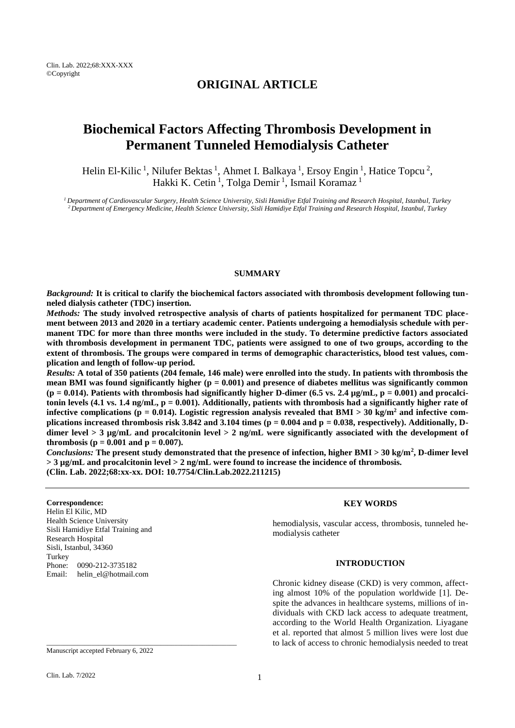## **ORIGINAL ARTICLE**

# **Biochemical Factors Affecting Thrombosis Development in Permanent Tunneled Hemodialysis Catheter**

Helin El-Kilic<sup>1</sup>, Nilufer Bektas<sup>1</sup>, Ahmet I. Balkaya<sup>1</sup>, Ersoy Engin<sup>1</sup>, Hatice Topcu<sup>2</sup>, Hakki K. Cetin<sup>1</sup>, Tolga Demir<sup>1</sup>, Ismail Koramaz<sup>1</sup>

*<sup>1</sup> Department of Cardiovascular Surgery, Health Science University, Sisli Hamidiye Etfal Training and Research Hospital, Istanbul, Turkey <sup>2</sup> Department of Emergency Medicine, Health Science University, Sisli Hamidiye Etfal Training and Research Hospital, Istanbul, Turkey*

#### **SUMMARY**

*Background:* **It is critical to clarify the biochemical factors associated with thrombosis development following tunneled dialysis catheter (TDC) insertion.**

*Methods:* **The study involved retrospective analysis of charts of patients hospitalized for permanent TDC placement between 2013 and 2020 in a tertiary academic center. Patients undergoing a hemodialysis schedule with permanent TDC for more than three months were included in the study. To determine predictive factors associated with thrombosis development in permanent TDC, patients were assigned to one of two groups, according to the extent of thrombosis. The groups were compared in terms of demographic characteristics, blood test values, complication and length of follow-up period.**

*Results:* **A total of 350 patients (204 female, 146 male) were enrolled into the study. In patients with thrombosis the**  mean BMI was found significantly higher  $(p = 0.001)$  and presence of diabetes mellitus was significantly common  $(p = 0.014)$ . Patients with thrombosis had significantly higher D-dimer  $(6.5 \text{ vs. } 2.4 \text{ µg/mL}, p = 0.001)$  and procalci**tonin levels (4.1 vs. 1.4 ng/mL, p = 0.001). Additionally, patients with thrombosis had a significantly higher rate of infective complications (p = 0.014). Logistic regression analysis revealed that BMI > 30 kg/m<sup>2</sup> and infective complications increased thrombosis risk 3.842 and 3.104 times (p = 0.004 and p = 0.038, respectively). Additionally, Ddimer level > 3 µg/mL and procalcitonin level > 2 ng/mL were significantly associated with the development of thrombosis (p = 0.001 and p = 0.007).** 

*Conclusions:* **The present study demonstrated that the presence of infection, higher BMI > 30 kg/m<sup>2</sup> , D-dimer level > 3 µg/mL and procalcitonin level > 2 ng/mL were found to increase the incidence of thrombosis. (Clin. Lab. 2022;68:xx-xx. DOI: 10.7754/Clin.Lab.2022.211215)**

#### **Correspondence:**

Helin El Kilic, MD Health Science University Sisli Hamidiye Etfal Training and Research Hospital Sisli, Istanbul, 34360 Turkey Phone: 0090-212-3735182 Email: helin\_el@hotmail.com

#### **KEY WORDS**

hemodialysis, vascular access, thrombosis, tunneled hemodialysis catheter

## **INTRODUCTION**

Chronic kidney disease (CKD) is very common, affecting almost 10% of the population worldwide [1]. Despite the advances in healthcare systems, millions of individuals with CKD lack access to adequate treatment, according to the World Health Organization. Liyagane et al. reported that almost 5 million lives were lost due to lack of access to chronic hemodialysis needed to treat

\_\_\_\_\_\_\_\_\_\_\_\_\_\_\_\_\_\_\_\_\_\_\_\_\_\_\_\_\_\_\_\_\_\_\_\_\_\_\_\_\_\_\_\_\_\_\_\_\_\_\_\_\_\_\_

Manuscript accepted February 6, 2022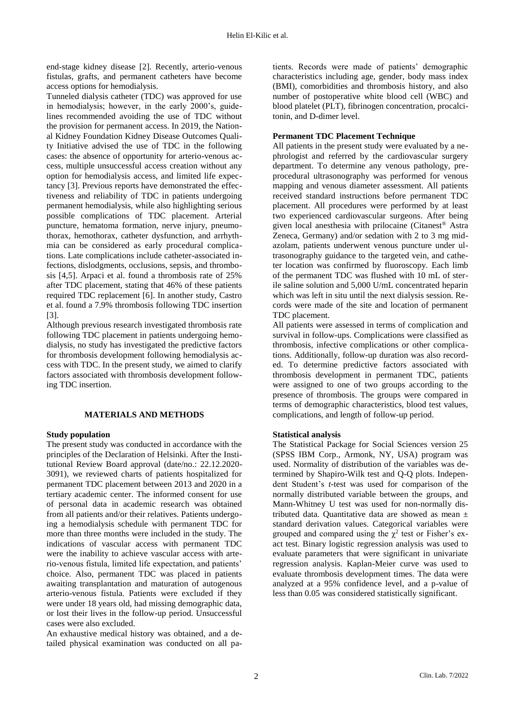end-stage kidney disease [2]. Recently, arterio-venous fistulas, grafts, and permanent catheters have become access options for hemodialysis.

Tunneled dialysis catheter (TDC) was approved for use in hemodialysis; however, in the early 2000's, guidelines recommended avoiding the use of TDC without the provision for permanent access. In 2019, the National Kidney Foundation Kidney Disease Outcomes Quality Initiative advised the use of TDC in the following cases: the absence of opportunity for arterio-venous access, multiple unsuccessful access creation without any option for hemodialysis access, and limited life expectancy [3]. Previous reports have demonstrated the effectiveness and reliability of TDC in patients undergoing permanent hemodialysis, while also highlighting serious possible complications of TDC placement. Arterial puncture, hematoma formation, nerve injury, pneumothorax, hemothorax, catheter dysfunction, and arrhythmia can be considered as early procedural complications. Late complications include catheter-associated infections, dislodgments, occlusions, sepsis, and thrombosis [4,5]. Arpaci et al. found a thrombosis rate of 25% after TDC placement, stating that 46% of these patients required TDC replacement [6]. In another study, Castro et al. found a 7.9% thrombosis following TDC insertion [3].

Although previous research investigated thrombosis rate following TDC placement in patients undergoing hemodialysis, no study has investigated the predictive factors for thrombosis development following hemodialysis access with TDC. In the present study, we aimed to clarify factors associated with thrombosis development following TDC insertion.

#### **MATERIALS AND METHODS**

#### **Study population**

The present study was conducted in accordance with the principles of the Declaration of Helsinki. After the Institutional Review Board approval (date/no.: 22.12.2020- 3091), we reviewed charts of patients hospitalized for permanent TDC placement between 2013 and 2020 in a tertiary academic center. The informed consent for use of personal data in academic research was obtained from all patients and/or their relatives. Patients undergoing a hemodialysis schedule with permanent TDC for more than three months were included in the study. The indications of vascular access with permanent TDC were the inability to achieve vascular access with arterio-venous fistula, limited life expectation, and patients' choice. Also, permanent TDC was placed in patients awaiting transplantation and maturation of autogenous arterio-venous fistula. Patients were excluded if they were under 18 years old, had missing demographic data, or lost their lives in the follow-up period. Unsuccessful cases were also excluded.

An exhaustive medical history was obtained, and a detailed physical examination was conducted on all pa-

tients. Records were made of patients' demographic characteristics including age, gender, body mass index (BMI), comorbidities and thrombosis history, and also number of postoperative white blood cell (WBC) and blood platelet (PLT), fibrinogen concentration, procalcitonin, and D-dimer level.

#### **Permanent TDC Placement Technique**

All patients in the present study were evaluated by a nephrologist and referred by the cardiovascular surgery department. To determine any venous pathology, preprocedural ultrasonography was performed for venous mapping and venous diameter assessment. All patients received standard instructions before permanent TDC placement. All procedures were performed by at least two experienced cardiovascular surgeons. After being given local anesthesia with prilocaine (Citanest® Astra Zeneca, Germany) and/or sedation with 2 to 3 mg midazolam, patients underwent venous puncture under ultrasonography guidance to the targeted vein, and catheter location was confirmed by fluoroscopy. Each limb of the permanent TDC was flushed with 10 mL of sterile saline solution and 5,000 U/mL concentrated heparin which was left in situ until the next dialysis session. Records were made of the site and location of permanent TDC placement.

All patients were assessed in terms of complication and survival in follow-ups. Complications were classified as thrombosis, infective complications or other complications. Additionally, follow-up duration was also recorded. To determine predictive factors associated with thrombosis development in permanent TDC, patients were assigned to one of two groups according to the presence of thrombosis. The groups were compared in terms of demographic characteristics, blood test values, complications, and length of follow-up period.

## **Statistical analysis**

The Statistical Package for Social Sciences version 25 (SPSS IBM Corp., Armonk, NY, USA) program was used. Normality of distribution of the variables was determined by Shapiro-Wilk test and Q-Q plots. Independent Student's *t-*test was used for comparison of the normally distributed variable between the groups, and Mann-Whitney U test was used for non-normally distributed data. Quantitative data are showed as mean ± standard derivation values. Categorical variables were grouped and compared using the  $\chi^2$  test or Fisher's exact test. Binary logistic regression analysis was used to evaluate parameters that were significant in univariate regression analysis. Kaplan-Meier curve was used to evaluate thrombosis development times. The data were analyzed at a 95% confidence level, and a p-value of less than 0.05 was considered statistically significant.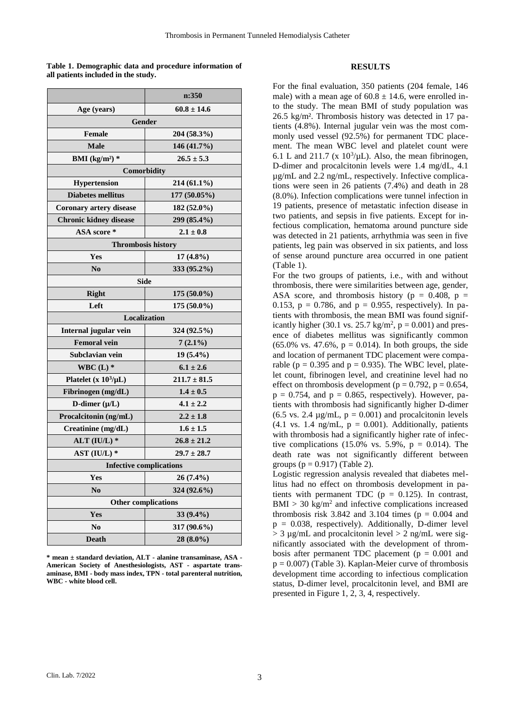**Table 1. Demographic data and procedure information of all patients included in the study.**

|                                | n:350            |  |  |  |  |
|--------------------------------|------------------|--|--|--|--|
| Age (years)                    | $60.8 \pm 14.6$  |  |  |  |  |
|                                | Gender           |  |  |  |  |
| <b>Female</b>                  | 204 (58.3%)      |  |  |  |  |
| <b>Male</b>                    | 146 (41.7%)      |  |  |  |  |
| BMI $(kg/m^2)$ *               | $26.5 \pm 5.3$   |  |  |  |  |
| Comorbidity                    |                  |  |  |  |  |
| <b>Hypertension</b>            | 214 (61.1%)      |  |  |  |  |
| <b>Diabetes mellitus</b>       | 177 (50.05%)     |  |  |  |  |
| Coronary artery disease        | 182 (52.0%)      |  |  |  |  |
| <b>Chronic kidney disease</b>  | 299 (85.4%)      |  |  |  |  |
| ASA score *                    | $2.1 \pm 0.8$    |  |  |  |  |
| <b>Thrombosis history</b>      |                  |  |  |  |  |
| Yes                            | $17(4.8\%)$      |  |  |  |  |
| N <sub>0</sub>                 | 333 (95.2%)      |  |  |  |  |
| Side                           |                  |  |  |  |  |
| <b>Right</b>                   | $175(50.0\%)$    |  |  |  |  |
| Left                           | 175 (50.0%)      |  |  |  |  |
| <b>Localization</b>            |                  |  |  |  |  |
| Internal jugular vein          | 324 (92.5%)      |  |  |  |  |
| <b>Femoral vein</b>            | $7(2.1\%)$       |  |  |  |  |
| Subclavian vein                | $19(5.4\%)$      |  |  |  |  |
| WBC $(L)$ *                    | $6.1 \pm 2.6$    |  |  |  |  |
| Platelet (x $10^3/\mu L$ )     | $211.7 \pm 81.5$ |  |  |  |  |
| Fibrinogen (mg/dL)             | $1.4 \pm 0.5$    |  |  |  |  |
| D-dimer $(\mu/L)$              | $4.1 \pm 2.2$    |  |  |  |  |
| Procalcitonin (ng/mL)          | $2.2 \pm 1.8$    |  |  |  |  |
| Creatinine (mg/dL)             | $1.6 \pm 1.5$    |  |  |  |  |
| ALT $(IU/L)$ *                 | $26.8 \pm 21.2$  |  |  |  |  |
| AST $(IU/L)*$                  | $29.7 \pm 28.7$  |  |  |  |  |
| <b>Infective complications</b> |                  |  |  |  |  |
| Yes                            | 26 (7.4%)        |  |  |  |  |
| N <sub>0</sub>                 | 324 (92.6%)      |  |  |  |  |
| <b>Other complications</b>     |                  |  |  |  |  |
| Yes                            | 33 (9.4%)        |  |  |  |  |
| N <sub>0</sub>                 | 317 (90.6%)      |  |  |  |  |
| <b>Death</b>                   | 28 (8.0%)        |  |  |  |  |
|                                |                  |  |  |  |  |

**\* mean ± standard deviation, ALT - alanine transaminase, ASA - American Society of Anesthesiologists, AST - aspartate transaminase, BMI - body mass index, TPN - total parenteral nutrition, WBC - white blood cell.**

#### **RESULTS**

For the final evaluation, 350 patients (204 female, 146 male) with a mean age of  $60.8 \pm 14.6$ , were enrolled into the study. The mean BMI of study population was 26.5 kg/m². Thrombosis history was detected in 17 patients (4.8%). Internal jugular vein was the most commonly used vessel (92.5%) for permanent TDC placement. The mean WBC level and platelet count were 6.1 L and 211.7 ( $x$  10<sup>3</sup>/ $\mu$ L). Also, the mean fibrinogen, D-dimer and procalcitonin levels were 1.4 mg/dL, 4.1 µg/mL and 2.2 ng/mL, respectively. Infective complications were seen in 26 patients (7.4%) and death in 28 (8.0%). Infection complications were tunnel infection in 19 patients, presence of metastatic infection disease in two patients, and sepsis in five patients. Except for infectious complication, hematoma around puncture side was detected in 21 patients, arrhythmia was seen in five patients, leg pain was observed in six patients, and loss of sense around puncture area occurred in one patient (Table 1).

For the two groups of patients, i.e., with and without thrombosis, there were similarities between age, gender, ASA score, and thrombosis history ( $p = 0.408$ ,  $p =$ 0.153,  $p = 0.786$ , and  $p = 0.955$ , respectively). In patients with thrombosis, the mean BMI was found significantly higher (30.1 vs. 25.7 kg/m<sup>2</sup>,  $p = 0.001$ ) and presence of diabetes mellitus was significantly common  $(65.0\% \text{ vs. } 47.6\%, \text{ p} = 0.014)$ . In both groups, the side and location of permanent TDC placement were comparable ( $p = 0.395$  and  $p = 0.935$ ). The WBC level, platelet count, fibrinogen level, and creatinine level had no effect on thrombosis development ( $p = 0.792$ ,  $p = 0.654$ ,  $p = 0.754$ , and  $p = 0.865$ , respectively). However, patients with thrombosis had significantly higher D-dimer  $(6.5 \text{ vs. } 2.4 \text{ µg/mL}, p = 0.001)$  and procalcitonin levels  $(4.1 \text{ vs. } 1.4 \text{ ng/mL}, p = 0.001)$ . Additionally, patients with thrombosis had a significantly higher rate of infective complications  $(15.0\% \text{ vs. } 5.9\%, \text{ p} = 0.014)$ . The death rate was not significantly different between groups  $(p = 0.917)$  (Table 2).

Logistic regression analysis revealed that diabetes mellitus had no effect on thrombosis development in patients with permanent TDC ( $p = 0.125$ ). In contrast,  $BMI > 30$  kg/m<sup>2</sup> and infective complications increased thrombosis risk 3.842 and 3.104 times ( $p = 0.004$  and  $p = 0.038$ , respectively). Additionally, D-dimer level  $> 3 \mu$ g/mL and procalcitonin level  $> 2 \text{ ng/mL}$  were significantly associated with the development of thrombosis after permanent TDC placement ( $p = 0.001$  and  $p = 0.007$ ) (Table 3). Kaplan-Meier curve of thrombosis development time according to infectious complication status, D-dimer level, procalcitonin level, and BMI are presented in Figure 1, 2, 3, 4, respectively.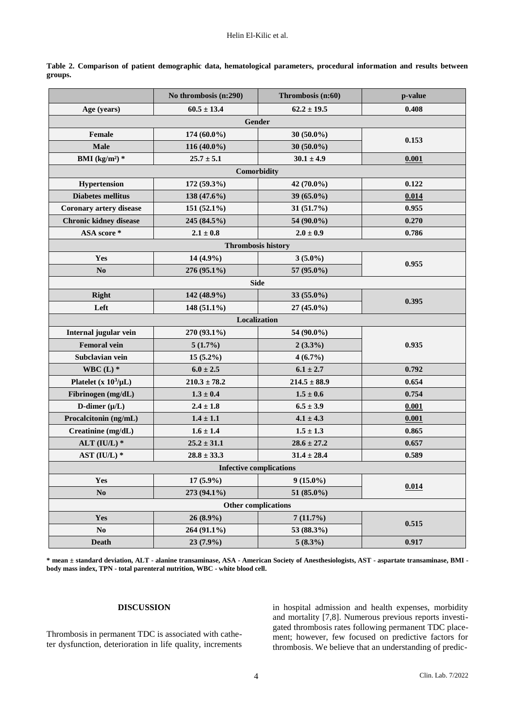|                                | No thrombosis (n:290) | Thrombosis (n:60)        | p-value |  |  |  |
|--------------------------------|-----------------------|--------------------------|---------|--|--|--|
| Age (years)                    | $60.5 \pm 13.4$       | $62.2 \pm 19.5$          | 0.408   |  |  |  |
| <b>Gender</b>                  |                       |                          |         |  |  |  |
| Female                         | $174(60.0\%)$         | $30(50.0\%)$             | 0.153   |  |  |  |
| <b>Male</b>                    | 116 (40.0%)           | 30 $(50.0\%)$            |         |  |  |  |
| BMI ( $kg/m2$ ) *              | $25.7 \pm 5.1$        | $30.1 \pm 4.9$           | 0.001   |  |  |  |
| Comorbidity                    |                       |                          |         |  |  |  |
| Hypertension                   | 172 (59.3%)           | 42 (70.0%)<br>0.122      |         |  |  |  |
| <b>Diabetes mellitus</b>       | 138 (47.6%)           | 39 (65.0%)<br>0.014      |         |  |  |  |
| <b>Coronary artery disease</b> | $151(52.1\%)$         | 31(51.7%)                | 0.955   |  |  |  |
| <b>Chronic kidney disease</b>  | 245 (84.5%)           | 54 (90.0%)<br>0.270      |         |  |  |  |
| ASA score*                     | $2.1 \pm 0.8$         | $2.0 \pm 0.9$            | 0.786   |  |  |  |
| Thrombosis history             |                       |                          |         |  |  |  |
| Yes                            | $14(4.9\%)$           | $3(5.0\%)$               |         |  |  |  |
| N <sub>0</sub>                 | 276 (95.1%)           | 57 (95.0%)               | 0.955   |  |  |  |
| <b>Side</b>                    |                       |                          |         |  |  |  |
| <b>Right</b>                   | 142 (48.9%)           | 33 (55.0%)               |         |  |  |  |
| Left                           | 148 (51.1%)           | 27 (45.0%)               | 0.395   |  |  |  |
| Localization                   |                       |                          |         |  |  |  |
| Internal jugular vein          | 270 (93.1%)           | 54 (90.0%)               |         |  |  |  |
| <b>Femoral vein</b>            | 5(1.7%)               | $2(3.3\%)$               | 0.935   |  |  |  |
| Subclavian vein                | $15(5.2\%)$           | $4(6.7\%)$               |         |  |  |  |
| WBC $(L)$ *                    | $6.0 \pm 2.5$         | $6.1 \pm 2.7$            | 0.792   |  |  |  |
| Platelet (x $10^3/\mu L$ )     | $210.3 \pm 78.2$      | $214.5 \pm 88.9$         | 0.654   |  |  |  |
| Fibrinogen (mg/dL)             | $1.3 \pm 0.4$         | $1.5 \pm 0.6$            | 0.754   |  |  |  |
| D-dimer $(\mu/L)$              | $2.4 \pm 1.8$         | $6.5 \pm 3.9$            | 0.001   |  |  |  |
| Procalcitonin (ng/mL)          | $1.4 \pm 1.1$         | $4.1 \pm 4.3$            | 0.001   |  |  |  |
| Creatinine (mg/dL)             | $1.6 \pm 1.4$         | $1.5 \pm 1.3$            | 0.865   |  |  |  |
| ALT (IU/L) $*$                 | $25.2 \pm 31.1$       | $28.6 \pm 27.2$<br>0.657 |         |  |  |  |
| AST $(IU/L)*$                  | $28.8 \pm 33.3$       | $31.4 \pm 28.4$          | 0.589   |  |  |  |
| <b>Infective complications</b> |                       |                          |         |  |  |  |
| Yes                            | 17 (5.9%)             | $9(15.0\%)$              |         |  |  |  |
| N <sub>0</sub>                 | 273 (94.1%)           | 51 (85.0%)               | 0.014   |  |  |  |
| <b>Other complications</b>     |                       |                          |         |  |  |  |
| Yes                            | $26(8.9\%)$           | 7(11.7%)                 | 0.515   |  |  |  |
| N <sub>0</sub>                 | 264 (91.1%)           | 53 (88.3%)               |         |  |  |  |
| <b>Death</b>                   | 23 (7.9%)             | $5(8.3\%)$               | 0.917   |  |  |  |

**Table 2. Comparison of patient demographic data, hematological parameters, procedural information and results between groups.**

**\* mean ± standard deviation, ALT - alanine transaminase, ASA - American Society of Anesthesiologists, AST - aspartate transaminase, BMI body mass index, TPN - total parenteral nutrition, WBC - white blood cell.**

## **DISCUSSION**

Thrombosis in permanent TDC is associated with catheter dysfunction, deterioration in life quality, increments in hospital admission and health expenses, morbidity and mortality [7,8]. Numerous previous reports investigated thrombosis rates following permanent TDC placement; however, few focused on predictive factors for thrombosis. We believe that an understanding of predic-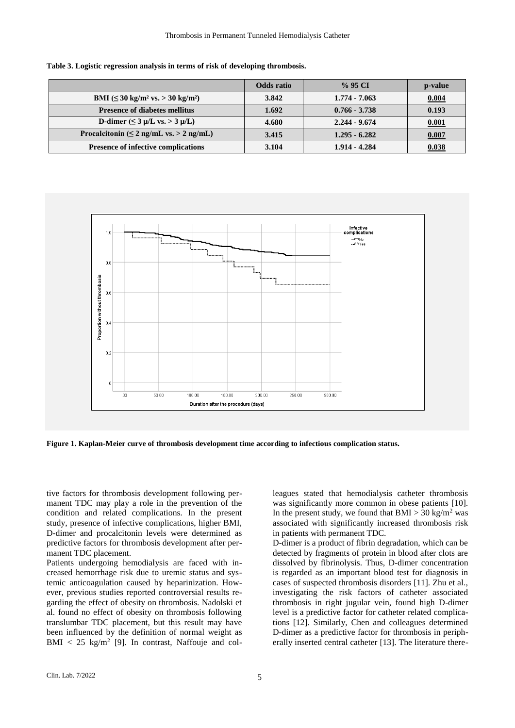|                                                                | Odds ratio | $\%$ 95 CI      | p-value      |
|----------------------------------------------------------------|------------|-----------------|--------------|
| BMI $(\leq 30 \text{ kg/m}^2 \text{ vs.} > 30 \text{ kg/m}^2)$ | 3.842      | $1.774 - 7.063$ | 0.004        |
| <b>Presence of diabetes mellitus</b>                           | 1.692      | $0.766 - 3.738$ | 0.193        |
| D-dimer $(\leq 3 \mu/L \text{ vs.} > 3 \mu/L)$                 | 4.680      | $2.244 - 9.674$ | 0.001        |
| Procalcitonin ( $\leq 2$ ng/mL vs. > 2 ng/mL)                  | 3.415      | $1.295 - 6.282$ | 0.007        |
| Presence of infective complications                            | 3.104      | 1.914 - 4.284   | <u>0.038</u> |

**Table 3. Logistic regression analysis in terms of risk of developing thrombosis.**



**Figure 1. Kaplan-Meier curve of thrombosis development time according to infectious complication status.**

tive factors for thrombosis development following permanent TDC may play a role in the prevention of the condition and related complications. In the present study, presence of infective complications, higher BMI, D-dimer and procalcitonin levels were determined as predictive factors for thrombosis development after permanent TDC placement.

Patients undergoing hemodialysis are faced with increased hemorrhage risk due to uremic status and systemic anticoagulation caused by heparinization. However, previous studies reported controversial results regarding the effect of obesity on thrombosis. Nadolski et al. found no effect of obesity on thrombosis following translumbar TDC placement, but this result may have been influenced by the definition of normal weight as  $BMI < 25$  kg/m<sup>2</sup> [9]. In contrast, Naffouje and col-

leagues stated that hemodialysis catheter thrombosis was significantly more common in obese patients [10]. In the present study, we found that  $BMI > 30 \text{ kg/m}^2$  was associated with significantly increased thrombosis risk in patients with permanent TDC.

D-dimer is a product of fibrin degradation, which can be detected by fragments of protein in blood after clots are dissolved by fibrinolysis. Thus, D-dimer concentration is regarded as an important blood test for diagnosis in cases of suspected thrombosis disorders [11]. Zhu et al., investigating the risk factors of catheter associated thrombosis in right jugular vein, found high D-dimer level is a predictive factor for catheter related complications [12]. Similarly, Chen and colleagues determined D-dimer as a predictive factor for thrombosis in peripherally inserted central catheter [13]. The literature there-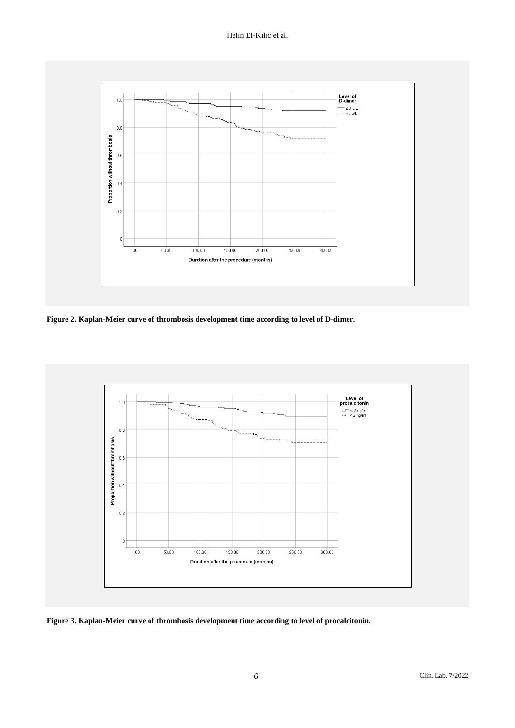

**Figure 2. Kaplan-Meier curve of thrombosis development time according to level of D-dimer.**



**Figure 3. Kaplan-Meier curve of thrombosis development time according to level of procalcitonin.**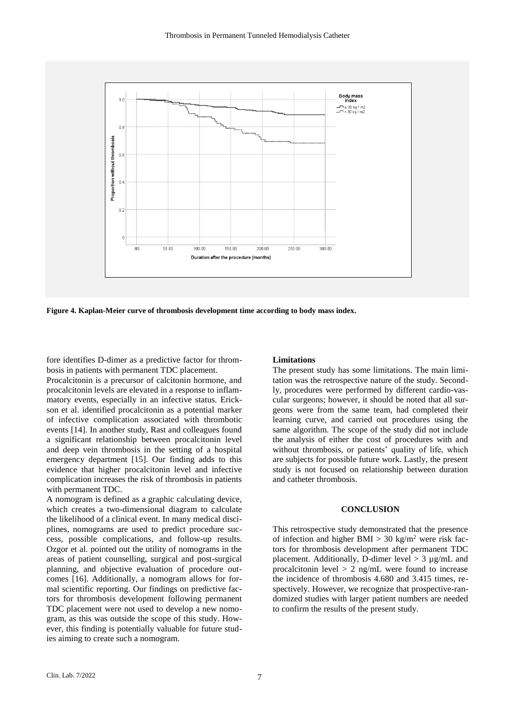

**Figure 4. Kaplan-Meier curve of thrombosis development time according to body mass index.**

fore identifies D-dimer as a predictive factor for thrombosis in patients with permanent TDC placement.

Procalcitonin is a precursor of calcitonin hormone, and procalcitonin levels are elevated in a response to inflammatory events, especially in an infective status. Erickson et al. identified procalcitonin as a potential marker of infective complication associated with thrombotic events [14]. In another study, Rast and colleagues found a significant relationship between procalcitonin level and deep vein thrombosis in the setting of a hospital emergency department [15]. Our finding adds to this evidence that higher procalcitonin level and infective complication increases the risk of thrombosis in patients with permanent TDC.

A nomogram is defined as a graphic calculating device, which creates a two-dimensional diagram to calculate the likelihood of a clinical event. In many medical disciplines, nomograms are used to predict procedure success, possible complications, and follow-up results. Ozgor et al. pointed out the utility of nomograms in the areas of patient counselling, surgical and post-surgical planning, and objective evaluation of procedure outcomes [16]. Additionally, a nomogram allows for formal scientific reporting. Our findings on predictive factors for thrombosis development following permanent TDC placement were not used to develop a new nomogram, as this was outside the scope of this study. However, this finding is potentially valuable for future studies aiming to create such a nomogram.

#### **Limitations**

The present study has some limitations. The main limitation was the retrospective nature of the study. Secondly, procedures were performed by different cardio-vascular surgeons; however, it should be noted that all surgeons were from the same team, had completed their learning curve, and carried out procedures using the same algorithm. The scope of the study did not include the analysis of either the cost of procedures with and without thrombosis, or patients' quality of life, which are subjects for possible future work. Lastly, the present study is not focused on relationship between duration and catheter thrombosis.

#### **CONCLUSION**

This retrospective study demonstrated that the presence of infection and higher BMI > 30 kg/m<sup>2</sup> were risk factors for thrombosis development after permanent TDC placement. Additionally, D-dimer level  $> 3 \mu$ g/mL and procalcitonin level  $> 2$  ng/mL were found to increase the incidence of thrombosis 4.680 and 3.415 times, respectively. However, we recognize that prospective-randomized studies with larger patient numbers are needed to confirm the results of the present study.